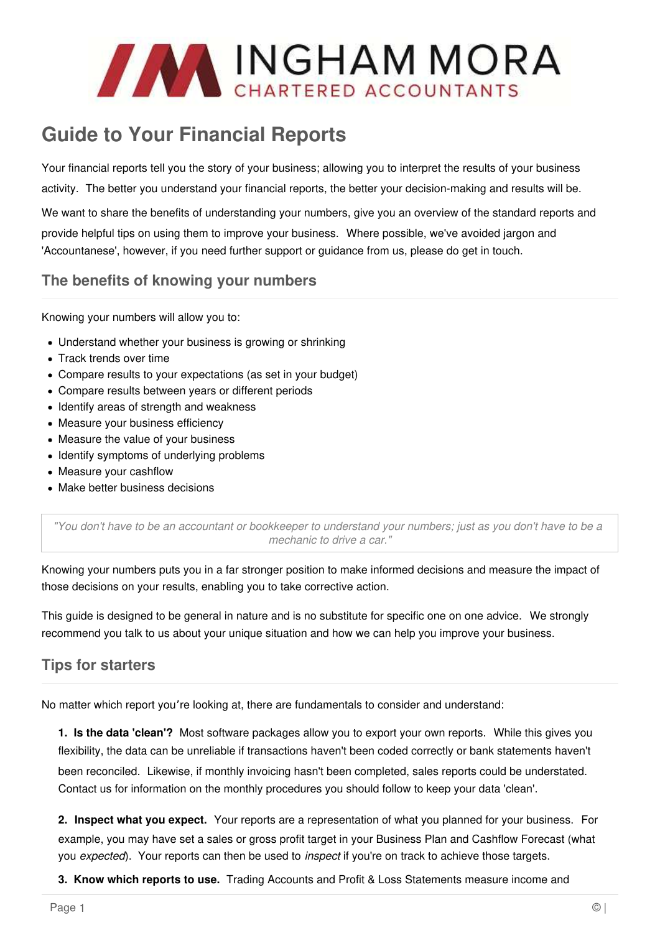

# **Guide to Your Financial Reports**

Your financial reports tell you the story of your business; allowing you to interpret the results of your business activity. The better you understand your financial reports, the better your decision-making and results will be.

We want to share the benefits of understanding your numbers, give you an overview of the standard reports and provide helpful tips on using them to improve your business. Where possible, we've avoided jargon and 'Accountanese', however, if you need further support or guidance from us, please do get in touch.

### **The benefits of knowing your numbers**

Knowing your numbers will allow you to:

- Understand whether your business is growing or shrinking
- Track trends over time
- Compare results to your expectations (as set in your budget)
- Compare results between years or different periods
- Identify areas of strength and weakness
- Measure your business efficiency
- Measure the value of your business
- Identify symptoms of underlying problems
- Measure your cashflow
- Make better business decisions

"You don't have to be an accountant or bookkeeper to understand your numbers; just as you don't have to be a mechanic to drive a car."

Knowing your numbers puts you in a far stronger position to make informed decisions and measure the impact of those decisions on your results, enabling you to take corrective action.

This guide is designed to be general in nature and is no substitute for specific one on one advice. We strongly recommend you talk to us about your unique situation and how we can help you improve your business.

# **Tips for starters**

No matter which report you're looking at, there are fundamentals to consider and understand:

**1. Is the data 'clean'?** Most software packages allow you to export your own reports. While this gives you flexibility, the data can be unreliable if transactions haven't been coded correctly or bank statements haven't been reconciled. Likewise, if monthly invoicing hasn't been completed, sales reports could be understated. Contact us for information on the monthly procedures you should follow to keep your data 'clean'.

**2. Inspect what you expect.** Your reports are a representation of what you planned for your business. For example, you may have set a sales or gross profit target in your Business Plan and Cashflow Forecast (what you expected). Your reports can then be used to *inspect* if you're on track to achieve those targets.

**3. Know which reports to use.** Trading Accounts and Profit & Loss Statements measure income and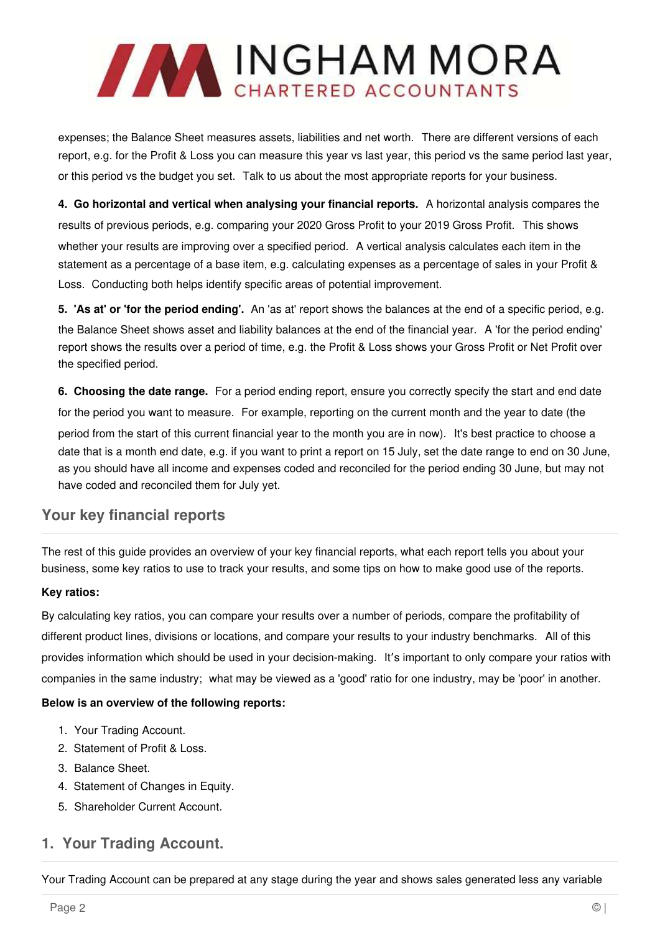

expenses; the Balance Sheet measures assets, liabilities and net worth. There are different versions of each report, e.g. for the Profit & Loss you can measure this year vs last year, this period vs the same period last year, or this period vs the budget you set. Talk to us about the most appropriate reports for your business.

**4. Go horizontal and vertical when analysing your financial reports.** A horizontal analysis compares the results of previous periods, e.g. comparing your 2020 Gross Profit to your 2019 Gross Profit. This shows whether your results are improving over a specified period. A vertical analysis calculates each item in the statement as a percentage of a base item, e.g. calculating expenses as a percentage of sales in your Profit & Loss. Conducting both helps identify specific areas of potential improvement.

**5. 'As at' or 'for the period ending'.** An 'as at' report shows the balances at the end of a specific period, e.g. the Balance Sheet shows asset and liability balances at the end of the financial year. A 'for the period ending' report shows the results over a period of time, e.g. the Profit & Loss shows your Gross Profit or Net Profit over the specified period.

**6. Choosing the date range.** For a period ending report, ensure you correctly specify the start and end date for the period you want to measure. For example, reporting on the current month and the year to date (the period from the start of this current financial year to the month you are in now). It's best practice to choose a date that is a month end date, e.g. if you want to print a report on 15 July, set the date range to end on 30 June, as you should have all income and expenses coded and reconciled for the period ending 30 June, but may not have coded and reconciled them for July yet.

# **Your key financial reports**

The rest of this guide provides an overview of your key financial reports, what each report tells you about your business, some key ratios to use to track your results, and some tips on how to make good use of the reports.

### **Key ratios:**

By calculating key ratios, you can compare your results over a number of periods, compare the profitability of different product lines, divisions or locations, and compare your results to your industry benchmarks. All of this provides information which should be used in your decision-making. It's important to only compare your ratios with companies in the same industry; what may be viewed as a 'good' ratio for one industry, may be 'poor' in another.

### **Below is an overview of the following reports:**

- 1. Your Trading Account.
- 2. Statement of Profit & Loss.
- 3. Balance Sheet.
- 4. Statement of Changes in Equity.
- 5. Shareholder Current Account.

### **1. Your Trading Account.**

Your Trading Account can be prepared at any stage during the year and shows sales generated less any variable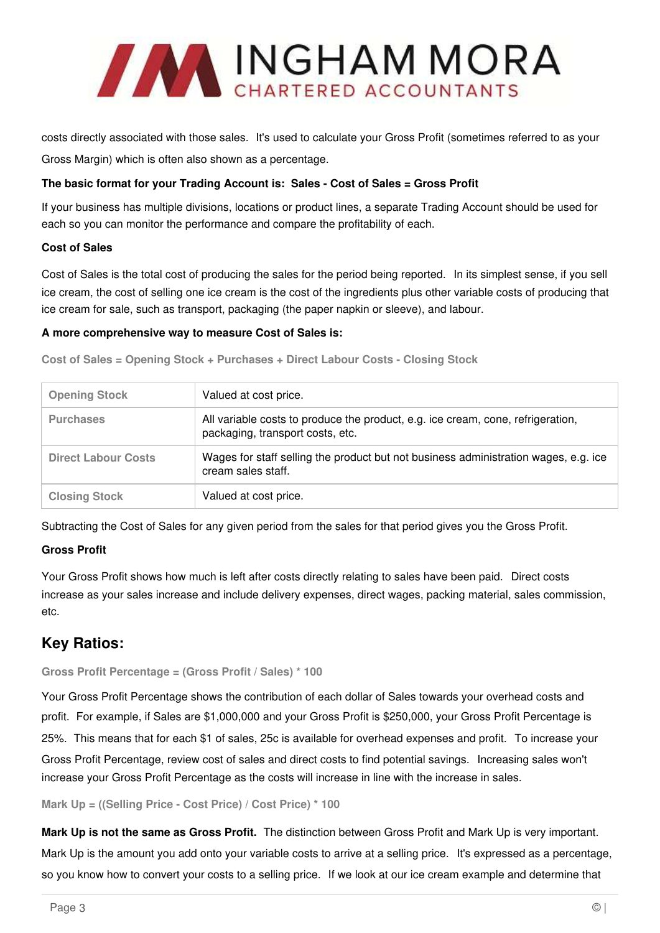

costs directly associated with those sales. It's used to calculate your Gross Profit (sometimes referred to as your Gross Margin) which is often also shown as a percentage.

### **The basic format for your Trading Account is: Sales - Cost of Sales = Gross Profit**

If your business has multiple divisions, locations or product lines, a separate Trading Account should be used for each so you can monitor the performance and compare the profitability of each.

### **Cost of Sales**

Cost of Sales is the total cost of producing the sales for the period being reported. In its simplest sense, if you sell ice cream, the cost of selling one ice cream is the cost of the ingredients plus other variable costs of producing that ice cream for sale, such as transport, packaging (the paper napkin or sleeve), and labour.

#### **A more comprehensive way to measure Cost of Sales is:**

**Cost of Sales = Opening Stock + Purchases + Direct Labour Costs - Closing Stock** 

| <b>Opening Stock</b>       | Valued at cost price.                                                                                               |
|----------------------------|---------------------------------------------------------------------------------------------------------------------|
| <b>Purchases</b>           | All variable costs to produce the product, e.g. ice cream, cone, refrigeration,<br>packaging, transport costs, etc. |
| <b>Direct Labour Costs</b> | Wages for staff selling the product but not business administration wages, e.g. ice<br>cream sales staff.           |
| <b>Closing Stock</b>       | Valued at cost price.                                                                                               |

Subtracting the Cost of Sales for any given period from the sales for that period gives you the Gross Profit.

### **Gross Profit**

Your Gross Profit shows how much is left after costs directly relating to sales have been paid. Direct costs increase as your sales increase and include delivery expenses, direct wages, packing material, sales commission, etc.

### **Key Ratios:**

#### **Gross Profit Percentage = (Gross Profit / Sales) \* 100**

Your Gross Profit Percentage shows the contribution of each dollar of Sales towards your overhead costs and profit. For example, if Sales are \$1,000,000 and your Gross Profit is \$250,000, your Gross Profit Percentage is 25%. This means that for each \$1 of sales, 25c is available for overhead expenses and profit. To increase your Gross Profit Percentage, review cost of sales and direct costs to find potential savings. Increasing sales won't increase your Gross Profit Percentage as the costs will increase in line with the increase in sales.

**Mark Up = ((Selling Price - Cost Price) / Cost Price) \* 100**

**Mark Up is not the same as Gross Profit.** The distinction between Gross Profit and Mark Up is very important. Mark Up is the amount you add onto your variable costs to arrive at a selling price. It's expressed as a percentage, so you know how to convert your costs to a selling price. If we look at our ice cream example and determine that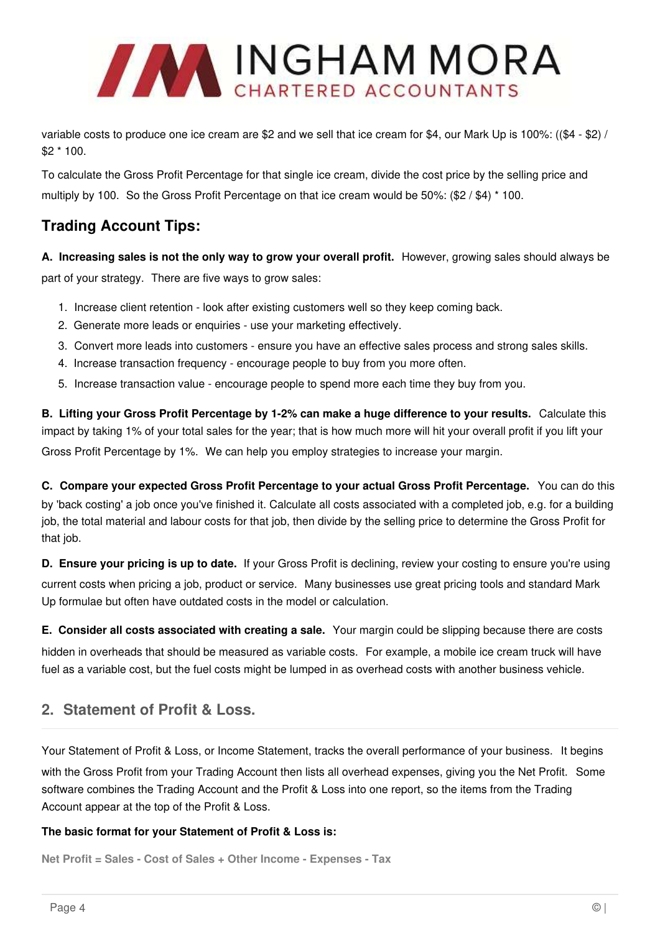

variable costs to produce one ice cream are \$2 and we sell that ice cream for \$4, our Mark Up is 100%: ((\$4 - \$2) / \$2 \* 100.

To calculate the Gross Profit Percentage for that single ice cream, divide the cost price by the selling price and multiply by 100. So the Gross Profit Percentage on that ice cream would be 50%: (\$2 / \$4) \* 100.

# **Trading Account Tips:**

**A. Increasing sales is not the only way to grow your overall profit.** However, growing sales should always be part of your strategy. There are five ways to grow sales:

- 1. Increase client retention look after existing customers well so they keep coming back.
- 2. Generate more leads or enquiries use your marketing effectively.
- 3. Convert more leads into customers ensure you have an effective sales process and strong sales skills.
- 4. Increase transaction frequency encourage people to buy from you more often.
- 5. Increase transaction value encourage people to spend more each time they buy from you.

**B. Lifting your Gross Profit Percentage by 1-2% can make a huge difference to your results.** Calculate this impact by taking 1% of your total sales for the year; that is how much more will hit your overall profit if you lift your Gross Profit Percentage by 1%. We can help you employ strategies to increase your margin.

**C. Compare your expected Gross Profit Percentage to your actual Gross Profit Percentage.** You can do this by 'back costing' a job once you've finished it. Calculate all costs associated with a completed job, e.g. for a building job, the total material and labour costs for that job, then divide by the selling price to determine the Gross Profit for that job.

**D. Ensure your pricing is up to date.** If your Gross Profit is declining, review your costing to ensure you're using current costs when pricing a job, product or service. Many businesses use great pricing tools and standard Mark Up formulae but often have outdated costs in the model or calculation.

**E. Consider all costs associated with creating a sale.** Your margin could be slipping because there are costs hidden in overheads that should be measured as variable costs. For example, a mobile ice cream truck will have fuel as a variable cost, but the fuel costs might be lumped in as overhead costs with another business vehicle.

# **2. Statement of Profit & Loss.**

Your Statement of Profit & Loss, or Income Statement, tracks the overall performance of your business. It begins with the Gross Profit from your Trading Account then lists all overhead expenses, giving you the Net Profit. Some software combines the Trading Account and the Profit & Loss into one report, so the items from the Trading Account appear at the top of the Profit & Loss.

### **The basic format for your Statement of Profit & Loss is:**

**Net Profit = Sales - Cost of Sales + Other Income - Expenses - Tax**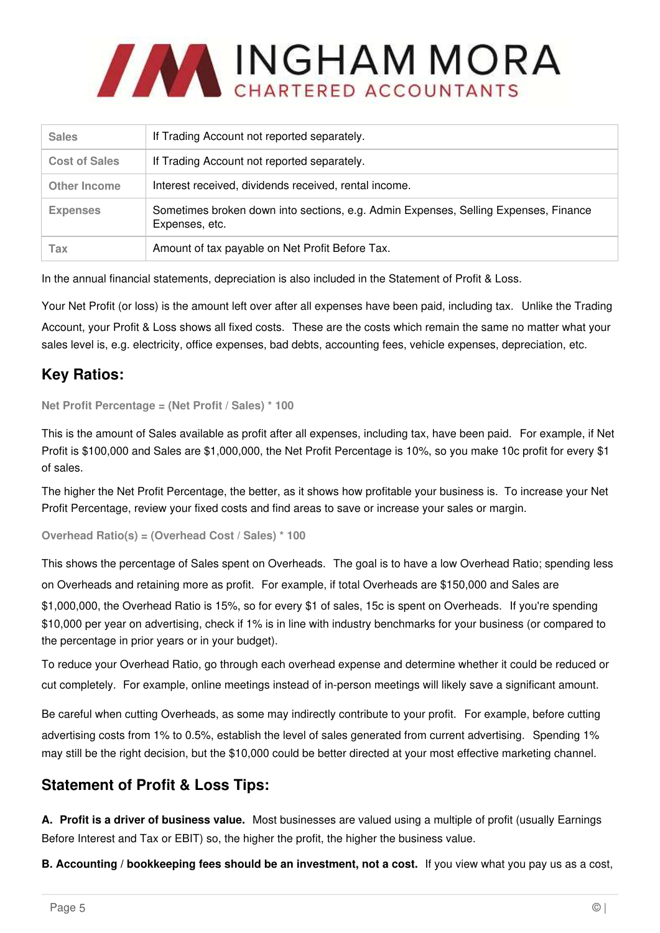

| <b>Sales</b>         | If Trading Account not reported separately.                                                           |
|----------------------|-------------------------------------------------------------------------------------------------------|
| <b>Cost of Sales</b> | If Trading Account not reported separately.                                                           |
| <b>Other Income</b>  | Interest received, dividends received, rental income.                                                 |
| <b>Expenses</b>      | Sometimes broken down into sections, e.g. Admin Expenses, Selling Expenses, Finance<br>Expenses, etc. |
| Tax                  | Amount of tax payable on Net Profit Before Tax.                                                       |

In the annual financial statements, depreciation is also included in the Statement of Profit & Loss.

Your Net Profit (or loss) is the amount left over after all expenses have been paid, including tax. Unlike the Trading Account, your Profit & Loss shows all fixed costs. These are the costs which remain the same no matter what your sales level is, e.g. electricity, office expenses, bad debts, accounting fees, vehicle expenses, depreciation, etc.

# **Key Ratios:**

```
Net Profit Percentage = (Net Profit / Sales) * 100
```
This is the amount of Sales available as profit after all expenses, including tax, have been paid. For example, if Net Profit is \$100,000 and Sales are \$1,000,000, the Net Profit Percentage is 10%, so you make 10c profit for every \$1 of sales.

The higher the Net Profit Percentage, the better, as it shows how profitable your business is. To increase your Net Profit Percentage, review your fixed costs and find areas to save or increase your sales or margin.

```
Overhead Ratio(s) = (Overhead Cost / Sales) * 100
```
This shows the percentage of Sales spent on Overheads. The goal is to have a low Overhead Ratio; spending less on Overheads and retaining more as profit. For example, if total Overheads are \$150,000 and Sales are \$1,000,000, the Overhead Ratio is 15%, so for every \$1 of sales, 15c is spent on Overheads. If you're spending \$10,000 per year on advertising, check if 1% is in line with industry benchmarks for your business (or compared to the percentage in prior years or in your budget).

To reduce your Overhead Ratio, go through each overhead expense and determine whether it could be reduced or cut completely. For example, online meetings instead of in-person meetings will likely save a significant amount.

Be careful when cutting Overheads, as some may indirectly contribute to your profit. For example, before cutting advertising costs from 1% to 0.5%, establish the level of sales generated from current advertising. Spending 1% may still be the right decision, but the \$10,000 could be better directed at your most effective marketing channel.

# **Statement of Profit & Loss Tips:**

**A. Profit is a driver of business value.** Most businesses are valued using a multiple of profit (usually Earnings Before Interest and Tax or EBIT) so, the higher the profit, the higher the business value.

**B. Accounting / bookkeeping fees should be an investment, not a cost.** If you view what you pay us as a cost,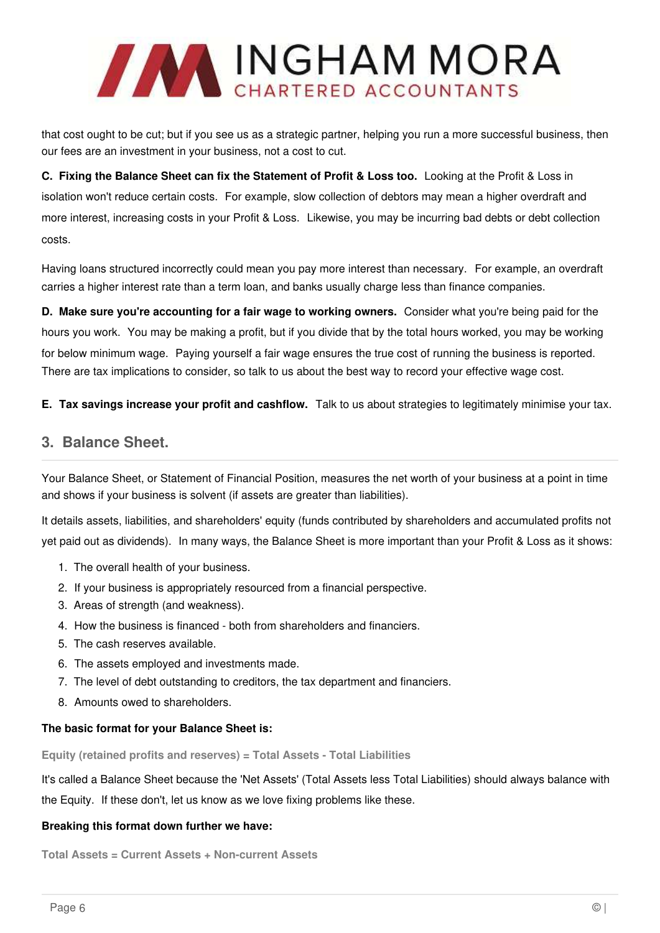

that cost ought to be cut; but if you see us as a strategic partner, helping you run a more successful business, then our fees are an investment in your business, not a cost to cut.

**C. Fixing the Balance Sheet can fix the Statement of Profit & Loss too.** Looking at the Profit & Loss in isolation won't reduce certain costs. For example, slow collection of debtors may mean a higher overdraft and more interest, increasing costs in your Profit & Loss. Likewise, you may be incurring bad debts or debt collection costs.

Having loans structured incorrectly could mean you pay more interest than necessary. For example, an overdraft carries a higher interest rate than a term loan, and banks usually charge less than finance companies.

**D. Make sure you're accounting for a fair wage to working owners.** Consider what you're being paid for the hours you work. You may be making a profit, but if you divide that by the total hours worked, you may be working for below minimum wage. Paying yourself a fair wage ensures the true cost of running the business is reported. There are tax implications to consider, so talk to us about the best way to record your effective wage cost.

**E. Tax savings increase your profit and cashflow.** Talk to us about strategies to legitimately minimise your tax.

### **3. Balance Sheet.**

Your Balance Sheet, or Statement of Financial Position, measures the net worth of your business at a point in time and shows if your business is solvent (if assets are greater than liabilities).

It details assets, liabilities, and shareholders' equity (funds contributed by shareholders and accumulated profits not yet paid out as dividends). In many ways, the Balance Sheet is more important than your Profit & Loss as it shows:

- 1. The overall health of your business.
- 2. If your business is appropriately resourced from a financial perspective.
- 3. Areas of strength (and weakness).
- 4. How the business is financed both from shareholders and financiers.
- 5. The cash reserves available.
- 6. The assets employed and investments made.
- 7. The level of debt outstanding to creditors, the tax department and financiers.
- 8. Amounts owed to shareholders.

#### **The basic format for your Balance Sheet is:**

**Equity (retained profits and reserves) = Total Assets - Total Liabilities** 

It's called a Balance Sheet because the 'Net Assets' (Total Assets less Total Liabilities) should always balance with the Equity. If these don't, let us know as we love fixing problems like these.

#### **Breaking this format down further we have:**

**Total Assets = Current Assets + Non-current Assets**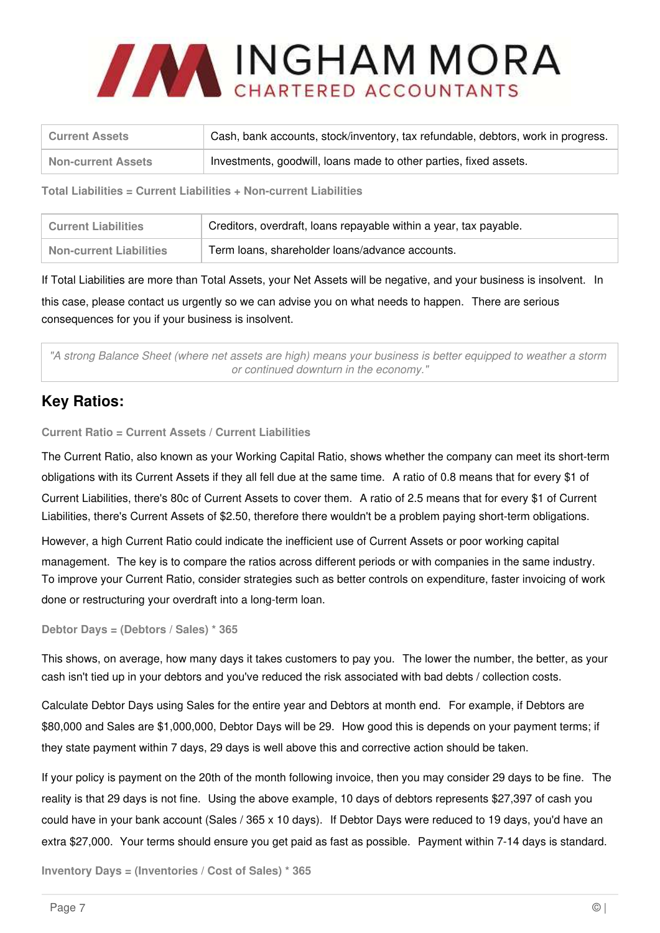

| <b>Current Assets</b>     | Cash, bank accounts, stock/inventory, tax refundable, debtors, work in progress. |
|---------------------------|----------------------------------------------------------------------------------|
| <b>Non-current Assets</b> | Investments, goodwill, loans made to other parties, fixed assets.                |

**Total Liabilities = Current Liabilities + Non-current Liabilities**

| Current Liabilities            | Creditors, overdraft, loans repayable within a year, tax payable. |
|--------------------------------|-------------------------------------------------------------------|
| <b>Non-current Liabilities</b> | Term loans, shareholder loans/advance accounts.                   |

If Total Liabilities are more than Total Assets, your Net Assets will be negative, and your business is insolvent. In this case, please contact us urgently so we can advise you on what needs to happen. There are serious consequences for you if your business is insolvent.

"A strong Balance Sheet (where net assets are high) means your business is better equipped to weather a storm or continued downturn in the economy."

# **Key Ratios:**

**Current Ratio = Current Assets / Current Liabilities**

The Current Ratio, also known as your Working Capital Ratio, shows whether the company can meet its short-term obligations with its Current Assets if they all fell due at the same time. A ratio of 0.8 means that for every \$1 of Current Liabilities, there's 80c of Current Assets to cover them. A ratio of 2.5 means that for every \$1 of Current Liabilities, there's Current Assets of \$2.50, therefore there wouldn't be a problem paying short-term obligations.

However, a high Current Ratio could indicate the inefficient use of Current Assets or poor working capital management. The key is to compare the ratios across different periods or with companies in the same industry. To improve your Current Ratio, consider strategies such as better controls on expenditure, faster invoicing of work done or restructuring your overdraft into a long-term loan.

**Debtor Days = (Debtors / Sales) \* 365**

This shows, on average, how many days it takes customers to pay you. The lower the number, the better, as your cash isn't tied up in your debtors and you've reduced the risk associated with bad debts / collection costs.

Calculate Debtor Days using Sales for the entire year and Debtors at month end. For example, if Debtors are \$80,000 and Sales are \$1,000,000, Debtor Days will be 29. How good this is depends on your payment terms; if they state payment within 7 days, 29 days is well above this and corrective action should be taken.

If your policy is payment on the 20th of the month following invoice, then you may consider 29 days to be fine. The reality is that 29 days is not fine. Using the above example, 10 days of debtors represents \$27,397 of cash you could have in your bank account (Sales / 365 x 10 days). If Debtor Days were reduced to 19 days, you'd have an extra \$27,000. Your terms should ensure you get paid as fast as possible. Payment within 7-14 days is standard.

**Inventory Days = (Inventories / Cost of Sales) \* 365**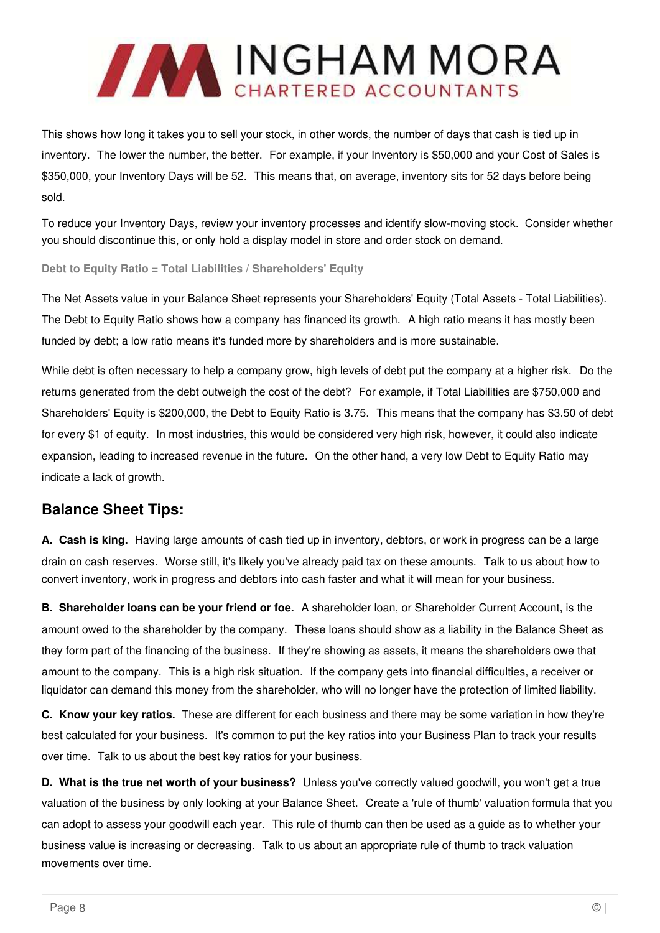

This shows how long it takes you to sell your stock, in other words, the number of days that cash is tied up in inventory. The lower the number, the better. For example, if your Inventory is \$50,000 and your Cost of Sales is \$350,000, your Inventory Days will be 52. This means that, on average, inventory sits for 52 days before being sold.

To reduce your Inventory Days, review your inventory processes and identify slow-moving stock. Consider whether you should discontinue this, or only hold a display model in store and order stock on demand.

**Debt to Equity Ratio = Total Liabilities / Shareholders' Equity**

The Net Assets value in your Balance Sheet represents your Shareholders' Equity (Total Assets - Total Liabilities). The Debt to Equity Ratio shows how a company has financed its growth. A high ratio means it has mostly been funded by debt; a low ratio means it's funded more by shareholders and is more sustainable.

While debt is often necessary to help a company grow, high levels of debt put the company at a higher risk. Do the returns generated from the debt outweigh the cost of the debt? For example, if Total Liabilities are \$750,000 and Shareholders' Equity is \$200,000, the Debt to Equity Ratio is 3.75. This means that the company has \$3.50 of debt for every \$1 of equity. In most industries, this would be considered very high risk, however, it could also indicate expansion, leading to increased revenue in the future. On the other hand, a very low Debt to Equity Ratio may indicate a lack of growth.

# **Balance Sheet Tips:**

**A. Cash is king.** Having large amounts of cash tied up in inventory, debtors, or work in progress can be a large drain on cash reserves. Worse still, it's likely you've already paid tax on these amounts. Talk to us about how to convert inventory, work in progress and debtors into cash faster and what it will mean for your business.

**B. Shareholder loans can be your friend or foe.** A shareholder loan, or Shareholder Current Account, is the amount owed to the shareholder by the company. These loans should show as a liability in the Balance Sheet as they form part of the financing of the business. If they're showing as assets, it means the shareholders owe that amount to the company. This is a high risk situation. If the company gets into financial difficulties, a receiver or liquidator can demand this money from the shareholder, who will no longer have the protection of limited liability.

**C. Know your key ratios.** These are different for each business and there may be some variation in how they're best calculated for your business. It's common to put the key ratios into your Business Plan to track your results over time. Talk to us about the best key ratios for your business.

**D. What is the true net worth of your business?** Unless you've correctly valued goodwill, you won't get a true valuation of the business by only looking at your Balance Sheet. Create a 'rule of thumb' valuation formula that you can adopt to assess your goodwill each year. This rule of thumb can then be used as a guide as to whether your business value is increasing or decreasing. Talk to us about an appropriate rule of thumb to track valuation movements over time.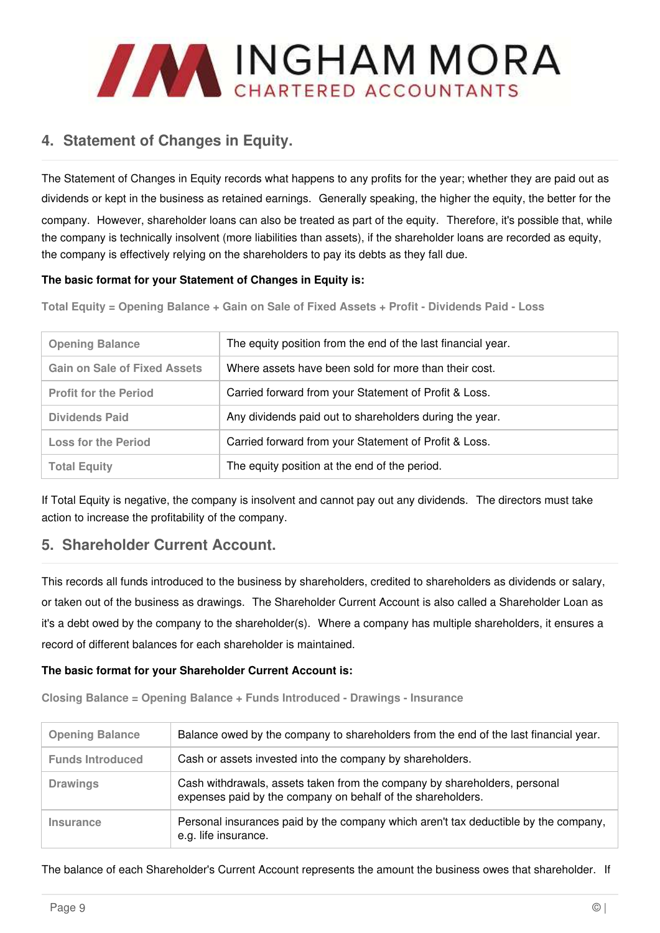

# **4. Statement of Changes in Equity.**

The Statement of Changes in Equity records what happens to any profits for the year; whether they are paid out as dividends or kept in the business as retained earnings. Generally speaking, the higher the equity, the better for the company. However, shareholder loans can also be treated as part of the equity. Therefore, it's possible that, while the company is technically insolvent (more liabilities than assets), if the shareholder loans are recorded as equity, the company is effectively relying on the shareholders to pay its debts as they fall due.

### **The basic format for your Statement of Changes in Equity is:**

**Total Equity = Opening Balance + Gain on Sale of Fixed Assets + Profit - Dividends Paid - Loss**

| <b>Opening Balance</b>              | The equity position from the end of the last financial year. |
|-------------------------------------|--------------------------------------------------------------|
| <b>Gain on Sale of Fixed Assets</b> | Where assets have been sold for more than their cost.        |
| <b>Profit for the Period</b>        | Carried forward from your Statement of Profit & Loss.        |
| <b>Dividends Paid</b>               | Any dividends paid out to shareholders during the year.      |
| <b>Loss for the Period</b>          | Carried forward from your Statement of Profit & Loss.        |
| <b>Total Equity</b>                 | The equity position at the end of the period.                |

If Total Equity is negative, the company is insolvent and cannot pay out any dividends. The directors must take action to increase the profitability of the company.

### **5. Shareholder Current Account.**

This records all funds introduced to the business by shareholders, credited to shareholders as dividends or salary, or taken out of the business as drawings. The Shareholder Current Account is also called a Shareholder Loan as it's a debt owed by the company to the shareholder(s). Where a company has multiple shareholders, it ensures a record of different balances for each shareholder is maintained.

### **The basic format for your Shareholder Current Account is:**

**Closing Balance = Opening Balance + Funds Introduced - Drawings - Insurance**

| <b>Opening Balance</b>  | Balance owed by the company to shareholders from the end of the last financial year.                                                     |
|-------------------------|------------------------------------------------------------------------------------------------------------------------------------------|
| <b>Funds Introduced</b> | Cash or assets invested into the company by shareholders.                                                                                |
| <b>Drawings</b>         | Cash withdrawals, assets taken from the company by shareholders, personal<br>expenses paid by the company on behalf of the shareholders. |
| Insurance               | Personal insurances paid by the company which aren't tax deductible by the company,<br>e.g. life insurance.                              |

The balance of each Shareholder's Current Account represents the amount the business owes that shareholder. If